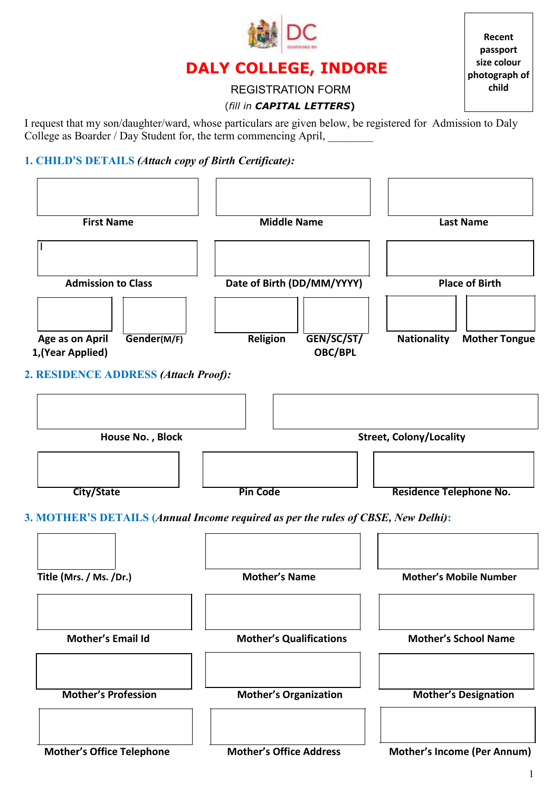

# **DALY COLLEGE, INDORE**

**Recent passport size colour photograph of child**

# REGISTRATION FORM

# (*fill in CAPITAL LETTERS***)**

I request that my son/daughter/ward, whose particulars are given below, be registered for Admission to Daly College as Boarder / Day Student for, the term commencing April,

# **1. CHILD'S DETAILS** *(Attach copy of Birth Certificate):*

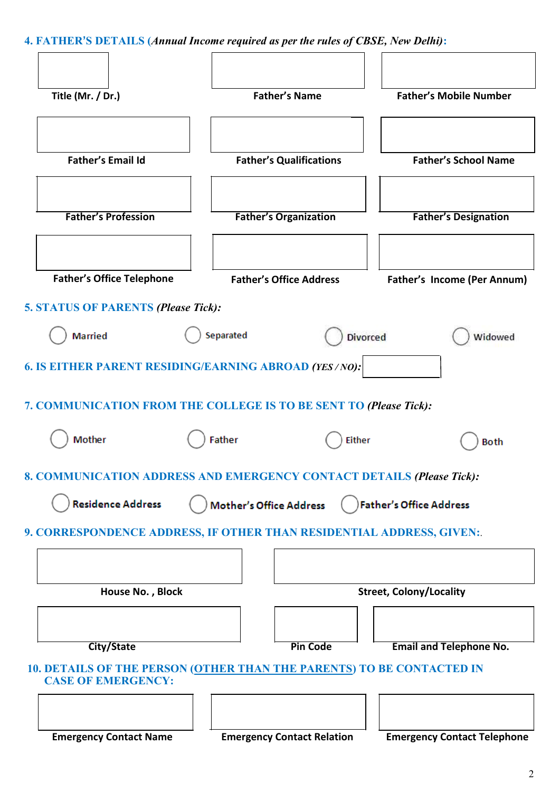**4. FATHER'S DETAILS (***Annual Income required as per the rules of CBSE, New Delhi)***:**

| Title (Mr. / Dr.)                                                 | <b>Father's Name</b>                                                         | <b>Father's Mobile Number</b>      |  |  |
|-------------------------------------------------------------------|------------------------------------------------------------------------------|------------------------------------|--|--|
|                                                                   |                                                                              |                                    |  |  |
| <b>Father's Email Id</b>                                          | <b>Father's Qualifications</b>                                               | <b>Father's School Name</b>        |  |  |
| <b>Father's Profession</b>                                        | <b>Father's Organization</b>                                                 | <b>Father's Designation</b>        |  |  |
| <b>Father's Office Telephone</b>                                  | <b>Father's Office Address</b>                                               | <b>Father's Income (Per Annum)</b> |  |  |
| <b>5. STATUS OF PARENTS (Please Tick):</b><br><b>Married</b>      | Separated<br><b>Divorced</b>                                                 | Widowed                            |  |  |
| <b>6. IS EITHER PARENT RESIDING/EARNING ABROAD (YES/NO):</b>      |                                                                              |                                    |  |  |
| 7. COMMUNICATION FROM THE COLLEGE IS TO BE SENT TO (Please Tick): |                                                                              |                                    |  |  |
| Mother                                                            | <b>Father</b><br><b>Either</b>                                               | <b>Both</b>                        |  |  |
|                                                                   | 8. COMMUNICATION ADDRESS AND EMERGENCY CONTACT DETAILS (Please Tick):        |                                    |  |  |
| <b>Residence Address</b>                                          | Mother's Office Address                                                      | Father's Office Address            |  |  |
|                                                                   | 9. CORRESPONDENCE ADDRESS, IF OTHER THAN RESIDENTIAL ADDRESS, GIVEN:         |                                    |  |  |
|                                                                   |                                                                              |                                    |  |  |
| House No., Block                                                  |                                                                              | <b>Street, Colony/Locality</b>     |  |  |
|                                                                   |                                                                              |                                    |  |  |
| <b>City/State</b>                                                 | <b>Pin Code</b>                                                              | <b>Email and Telephone No.</b>     |  |  |
| <b>CASE OF EMERGENCY:</b>                                         | <b>10. DETAILS OF THE PERSON (OTHER THAN THE PARENTS) TO BE CONTACTED IN</b> |                                    |  |  |
|                                                                   |                                                                              |                                    |  |  |
| <b>Emergency Contact Name</b>                                     | <b>Emergency Contact Relation</b>                                            | <b>Emergency Contact Telephone</b> |  |  |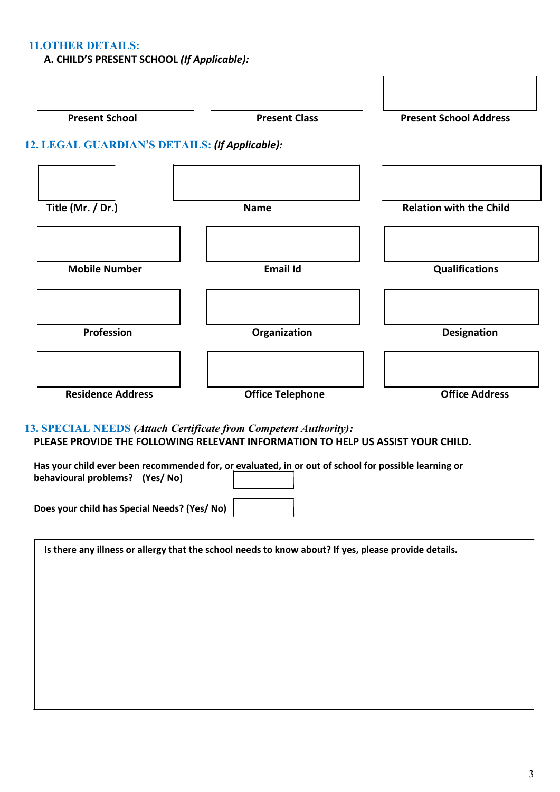### **11.OTHER DETAILS:**

 **A. CHILD'S PRESENT SCHOOL** *(If Applicable):*



**13. SPECIAL NEEDS** *(Attach Certificate from Competent Authority):* **PLEASE PROVIDE THE FOLLOWING RELEVANT INFORMATION TO HELP US ASSIST YOUR CHILD.**

**Has your child ever been recommended for, or evaluated, in or out of school for possible learning or behavioural problems? (Yes/ No)**

**Does your child has Special Needs? (Yes/ No)** 

| Is there any illness or allergy that the school needs to know about? If yes, please provide details. |  |  |
|------------------------------------------------------------------------------------------------------|--|--|
|                                                                                                      |  |  |
|                                                                                                      |  |  |
|                                                                                                      |  |  |
|                                                                                                      |  |  |
|                                                                                                      |  |  |
|                                                                                                      |  |  |
|                                                                                                      |  |  |
|                                                                                                      |  |  |
|                                                                                                      |  |  |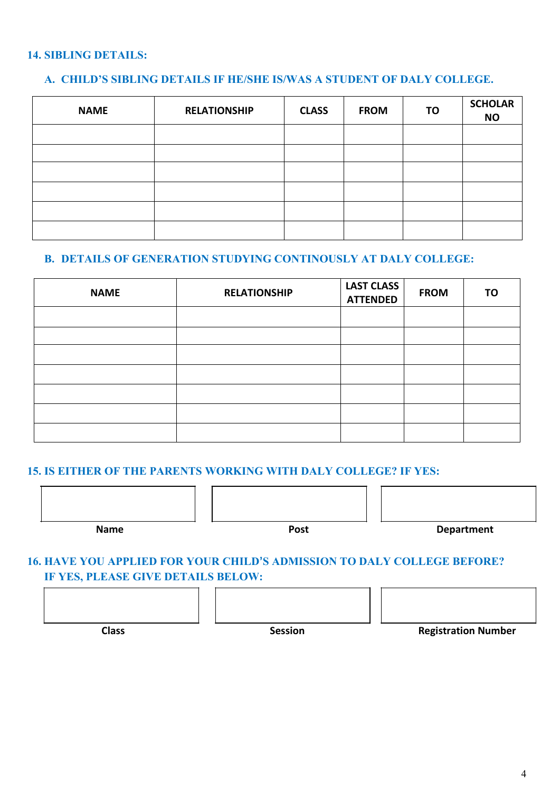# **14. SIBLING DETAILS:**

 $\leftarrow$ 

# **A. CHILD'S SIBLING DETAILS IF HE/SHE IS/WAS A STUDENT OF DALY COLLEGE.**

| <b>NAME</b> | <b>RELATIONSHIP</b> | <b>CLASS</b> | <b>FROM</b> | TO | <b>SCHOLAR</b><br><b>NO</b> |
|-------------|---------------------|--------------|-------------|----|-----------------------------|
|             |                     |              |             |    |                             |
|             |                     |              |             |    |                             |
|             |                     |              |             |    |                             |
|             |                     |              |             |    |                             |
|             |                     |              |             |    |                             |
|             |                     |              |             |    |                             |

# **B. DETAILS OF GENERATION STUDYING CONTINOUSLY AT DALY COLLEGE:**

| <b>NAME</b> | <b>RELATIONSHIP</b> | <b>LAST CLASS</b><br><b>ATTENDED</b> | <b>FROM</b> | <b>TO</b> |
|-------------|---------------------|--------------------------------------|-------------|-----------|
|             |                     |                                      |             |           |
|             |                     |                                      |             |           |
|             |                     |                                      |             |           |
|             |                     |                                      |             |           |
|             |                     |                                      |             |           |
|             |                     |                                      |             |           |
|             |                     |                                      |             |           |

#### **15. IS EITHER OF THE PARENTS WORKING WITH DALY COLLEGE? IF YES:**

 $\overline{\phantom{a}}$ 

# **16. HAVE YOU APPLIED FOR YOUR CHILD'S ADMISSION TO DALY COLLEGE BEFORE? IF YES, PLEASE GIVE DETAILS BELOW:**



 $\overline{a}$ 

 $\mathbf{r}$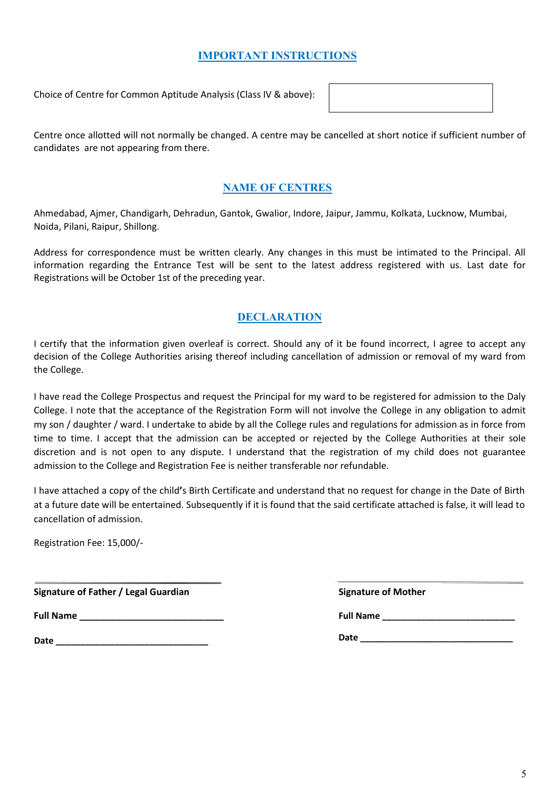### **IMPORTANT INSTRUCTIONS**

Choice of Centre for Common Aptitude Analysis (Class IV & above):

Centre once allotted will not normally be changed. A centre may be cancelled at short notice if sufficient number of candidates are not appearing from there.

# **NAME OF CENTRES**

Ahmedabad, Ajmer, Chandigarh, Dehradun, Gantok, Gwalior, Indore, Jaipur, Jammu, Kolkata, Lucknow, Mumbai, Noida, Pilani, Raipur, Shillong.

Address for correspondence must be written clearly. Any changes in this must be intimated to the Principal. All information regarding the Entrance Test will be sent to the latest address registered with us. Last date for Registrations will be October 1st of the preceding year.

# **DECLARATION**

I certify that the information given overleaf is correct. Should any of it be found incorrect, I agree to accept any decision of the College Authorities arising thereof including cancellation of admission or removal of my ward from the College.

I have read the College Prospectus and request the Principal for my ward to be registered for admission to the Daly College. I note that the acceptance of the Registration Form will not involve the College in any obligation to admit my son / daughter / ward. I undertake to abide by all the College rules and regulations for admission as in force from time to time. I accept that the admission can be accepted or rejected by the College Authorities at their sole discretion and is not open to any dispute. I understand that the registration of my child does not guarantee admission to the College and Registration Fee is neither transferable nor refundable.

I have attached a copy of the child**'**s Birth Certificate and understand that no request for change in the Date of Birth at a future date will be entertained. Subsequently if it is found that the said certificate attached is false, it will lead to cancellation of admission.

Registration Fee: 15,000/-

**Signature of Father / Legal Guardian Signature of Mother**

**Full Name \_\_\_\_\_\_\_\_\_\_\_\_\_\_\_\_\_\_\_\_\_\_\_\_\_\_\_\_**

**Date** 

**Full Name \_\_\_\_\_\_\_\_\_\_\_\_\_\_\_\_\_\_\_\_\_\_\_\_\_\_\_**

**Date \_\_\_\_\_\_\_\_\_\_\_\_\_\_\_\_\_\_\_\_\_\_\_\_\_\_\_\_\_\_\_**